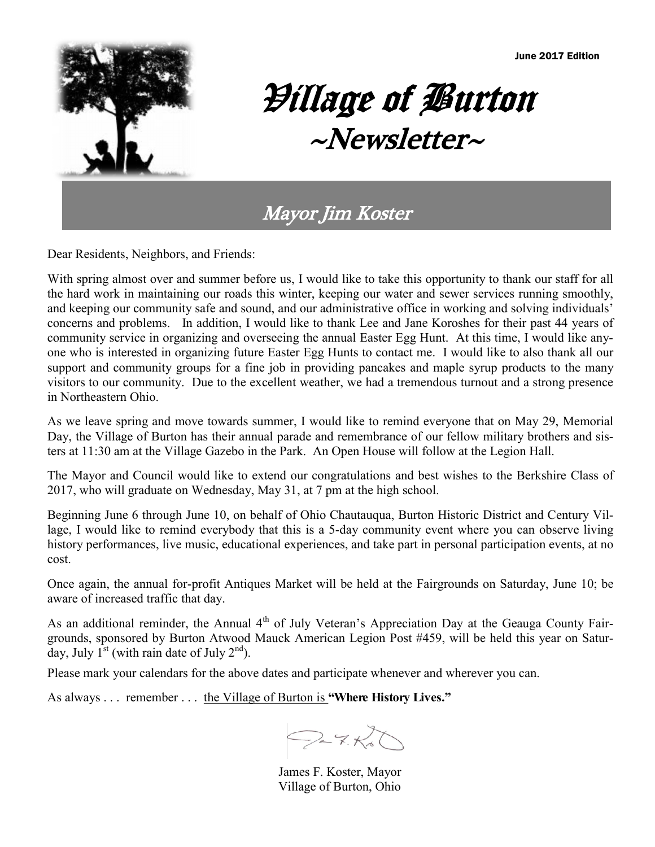

# Village of Burton  $~\sim$ Newsletter $\sim$

### Mayor Jim Koster

Dear Residents, Neighbors, and Friends:

With spring almost over and summer before us, I would like to take this opportunity to thank our staff for all the hard work in maintaining our roads this winter, keeping our water and sewer services running smoothly, and keeping our community safe and sound, and our administrative office in working and solving individuals' concerns and problems. In addition, I would like to thank Lee and Jane Koroshes for their past 44 years of community service in organizing and overseeing the annual Easter Egg Hunt. At this time, I would like anyone who is interested in organizing future Easter Egg Hunts to contact me. I would like to also thank all our support and community groups for a fine job in providing pancakes and maple syrup products to the many visitors to our community. Due to the excellent weather, we had a tremendous turnout and a strong presence in Northeastern Ohio.

As we leave spring and move towards summer, I would like to remind everyone that on May 29, Memorial Day, the Village of Burton has their annual parade and remembrance of our fellow military brothers and sisters at 11:30 am at the Village Gazebo in the Park. An Open House will follow at the Legion Hall.

The Mayor and Council would like to extend our congratulations and best wishes to the Berkshire Class of 2017, who will graduate on Wednesday, May 31, at 7 pm at the high school.

Beginning June 6 through June 10, on behalf of Ohio Chautauqua, Burton Historic District and Century Village, I would like to remind everybody that this is a 5-day community event where you can observe living history performances, live music, educational experiences, and take part in personal participation events, at no cost.

Once again, the annual for-profit Antiques Market will be held at the Fairgrounds on Saturday, June 10; be aware of increased traffic that day.

As an additional reminder, the Annual  $4<sup>th</sup>$  of July Veteran's Appreciation Day at the Geauga County Fairgrounds, sponsored by Burton Atwood Mauck American Legion Post #459, will be held this year on Saturday, July  $1^{st}$  (with rain date of July  $2^{nd}$ ).

Please mark your calendars for the above dates and participate whenever and wherever you can.

As always . . . remember . . . the Village of Burton is **"Where History Lives."** 

 $Q27.50$ 

James F. Koster, Mayor Village of Burton, Ohio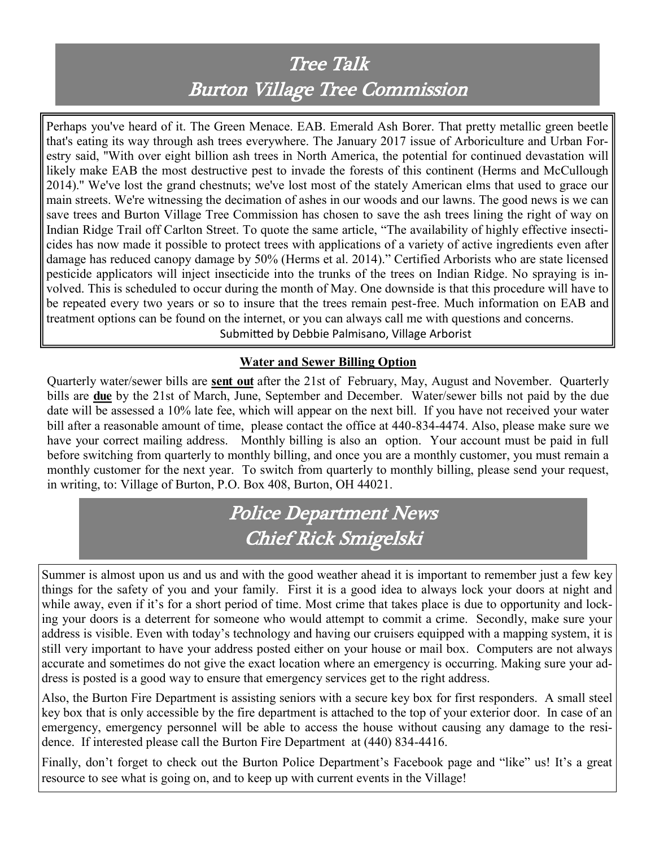# Tree Talk Burton Village Tree Commission

Perhaps you've heard of it. The Green Menace. EAB. Emerald Ash Borer. That pretty metallic green beetle that's eating its way through ash trees everywhere. The January 2017 issue of Arboriculture and Urban Forestry said, ''With over eight billion ash trees in North America, the potential for continued devastation will likely make EAB the most destructive pest to invade the forests of this continent (Herms and McCullough 2014).'' We've lost the grand chestnuts; we've lost most of the stately American elms that used to grace our main streets. We're witnessing the decimation of ashes in our woods and our lawns. The good news is we can save trees and Burton Village Tree Commission has chosen to save the ash trees lining the right of way on Indian Ridge Trail off Carlton Street. To quote the same article, "The availability of highly effective insecticides has now made it possible to protect trees with applications of a variety of active ingredients even after damage has reduced canopy damage by 50% (Herms et al. 2014)." Certified Arborists who are state licensed pesticide applicators will inject insecticide into the trunks of the trees on Indian Ridge. No spraying is involved. This is scheduled to occur during the month of May. One downside is that this procedure will have to be repeated every two years or so to insure that the trees remain pest-free. Much information on EAB and treatment options can be found on the internet, or you can always call me with questions and concerns. Submitted by Debbie Palmisano, Village Arborist

#### **Water and Sewer Billing Option**

Quarterly water/sewer bills are **sent out** after the 21st of February, May, August and November. Quarterly bills are **due** by the 21st of March, June, September and December. Water/sewer bills not paid by the due date will be assessed a 10% late fee, which will appear on the next bill. If you have not received your water bill after a reasonable amount of time, please contact the office at 440-834-4474. Also, please make sure we have your correct mailing address. Monthly billing is also an option. Your account must be paid in full before switching from quarterly to monthly billing, and once you are a monthly customer, you must remain a monthly customer for the next year. To switch from quarterly to monthly billing, please send your request, in writing, to: Village of Burton, P.O. Box 408, Burton, OH 44021.

## Police Department News Chief Rick Smigelski

Summer is almost upon us and us and with the good weather ahead it is important to remember just a few key things for the safety of you and your family. First it is a good idea to always lock your doors at night and while away, even if it's for a short period of time. Most crime that takes place is due to opportunity and locking your doors is a deterrent for someone who would attempt to commit a crime. Secondly, make sure your address is visible. Even with today's technology and having our cruisers equipped with a mapping system, it is still very important to have your address posted either on your house or mail box. Computers are not always accurate and sometimes do not give the exact location where an emergency is occurring. Making sure your address is posted is a good way to ensure that emergency services get to the right address.

Also, the Burton Fire Department is assisting seniors with a secure key box for first responders. A small steel key box that is only accessible by the fire department is attached to the top of your exterior door. In case of an emergency, emergency personnel will be able to access the house without causing any damage to the residence. If interested please call the Burton Fire Department at (440) 834-4416.

Finally, don't forget to check out the Burton Police Department's Facebook page and "like" us! It's a great resource to see what is going on, and to keep up with current events in the Village!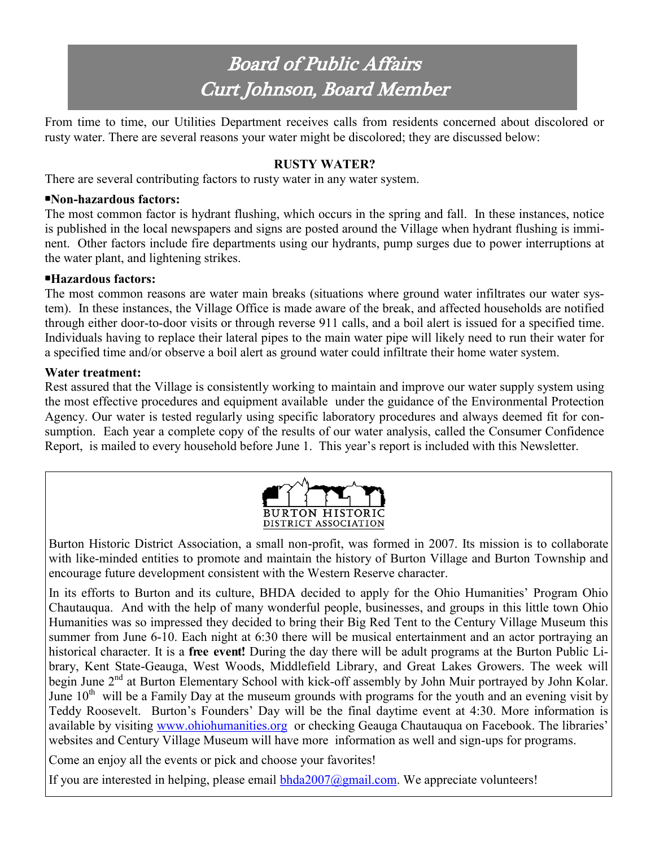# Board of Public Affairs Curt Johnson, Board Member

From time to time, our Utilities Department receives calls from residents concerned about discolored or rusty water. There are several reasons your water might be discolored; they are discussed below:

#### **RUSTY WATER?**

There are several contributing factors to rusty water in any water system.

#### **•Non-hazardous factors:**

The most common factor is hydrant flushing, which occurs in the spring and fall. In these instances, notice is published in the local newspapers and signs are posted around the Village when hydrant flushing is imminent. Other factors include fire departments using our hydrants, pump surges due to power interruptions at the water plant, and lightening strikes.

#### **•Hazardous factors:**

The most common reasons are water main breaks (situations where ground water infiltrates our water system). In these instances, the Village Office is made aware of the break, and affected households are notified through either door-to-door visits or through reverse 911 calls, and a boil alert is issued for a specified time. Individuals having to replace their lateral pipes to the main water pipe will likely need to run their water for a specified time and/or observe a boil alert as ground water could infiltrate their home water system.

#### **Water treatment:**

Rest assured that the Village is consistently working to maintain and improve our water supply system using the most effective procedures and equipment available under the guidance of the Environmental Protection Agency. Our water is tested regularly using specific laboratory procedures and always deemed fit for consumption. Each year a complete copy of the results of our water analysis, called the Consumer Confidence Report, is mailed to every household before June 1. This year's report is included with this Newsletter.



Burton Historic District Association, a small non-profit, was formed in 2007. Its mission is to collaborate with like-minded entities to promote and maintain the history of Burton Village and Burton Township and encourage future development consistent with the Western Reserve character.

In its efforts to Burton and its culture, BHDA decided to apply for the Ohio Humanities' Program Ohio Chautauqua. And with the help of many wonderful people, businesses, and groups in this little town Ohio Humanities was so impressed they decided to bring their Big Red Tent to the Century Village Museum this summer from June 6-10. Each night at 6:30 there will be musical entertainment and an actor portraying an historical character. It is a **free event!** During the day there will be adult programs at the Burton Public Library, Kent State-Geauga, West Woods, Middlefield Library, and Great Lakes Growers. The week will begin June 2<sup>nd</sup> at Burton Elementary School with kick-off assembly by John Muir portrayed by John Kolar. June  $10<sup>th</sup>$  will be a Family Day at the museum grounds with programs for the youth and an evening visit by Teddy Roosevelt. Burton's Founders' Day will be the final daytime event at 4:30. More information is available by visiting [www.ohiohumanities.org](http://www.ohiohumanities.org) or checking Geauga Chautauqua on Facebook. The libraries' websites and Century Village Museum will have more information as well and sign-ups for programs.

Come an enjoy all the events or pick and choose your favorites!

If you are interested in helping, please email  $bhda2007@gmail.com$ . We appreciate volunteers!